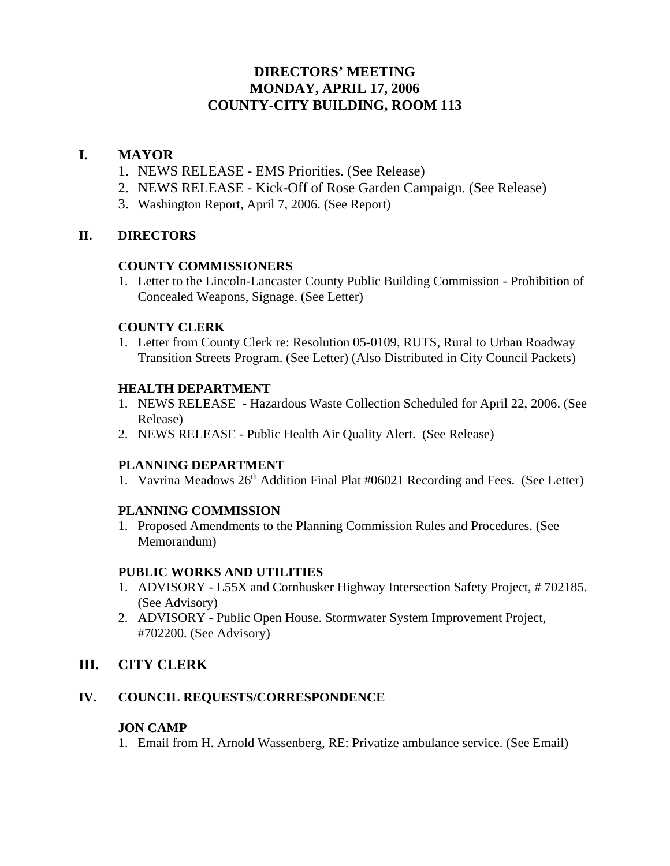# **DIRECTORS' MEETING MONDAY, APRIL 17, 2006 COUNTY-CITY BUILDING, ROOM 113**

## **I. MAYOR**

- 1. NEWS RELEASE EMS Priorities. (See Release)
- 2. NEWS RELEASE Kick-Off of Rose Garden Campaign. (See Release)
- 3. Washington Report, April 7, 2006. (See Report)

## **II. DIRECTORS**

## **COUNTY COMMISSIONERS**

1. Letter to the Lincoln-Lancaster County Public Building Commission - Prohibition of Concealed Weapons, Signage. (See Letter)

#### **COUNTY CLERK**

1. Letter from County Clerk re: Resolution 05-0109, RUTS, Rural to Urban Roadway Transition Streets Program. (See Letter) (Also Distributed in City Council Packets)

## **HEALTH DEPARTMENT**

- 1. NEWS RELEASE Hazardous Waste Collection Scheduled for April 22, 2006. (See Release)
- 2. NEWS RELEASE Public Health Air Quality Alert. (See Release)

## **PLANNING DEPARTMENT**

1. Vavrina Meadows  $26<sup>th</sup>$  Addition Final Plat #06021 Recording and Fees. (See Letter)

## **PLANNING COMMISSION**

1. Proposed Amendments to the Planning Commission Rules and Procedures. (See Memorandum)

## **PUBLIC WORKS AND UTILITIES**

- 1. ADVISORY L55X and Cornhusker Highway Intersection Safety Project, # 702185. (See Advisory)
- 2. ADVISORY Public Open House. Stormwater System Improvement Project, #702200. (See Advisory)

# **III. CITY CLERK**

## **IV. COUNCIL REQUESTS/CORRESPONDENCE**

## **JON CAMP**

1. Email from H. Arnold Wassenberg, RE: Privatize ambulance service. (See Email)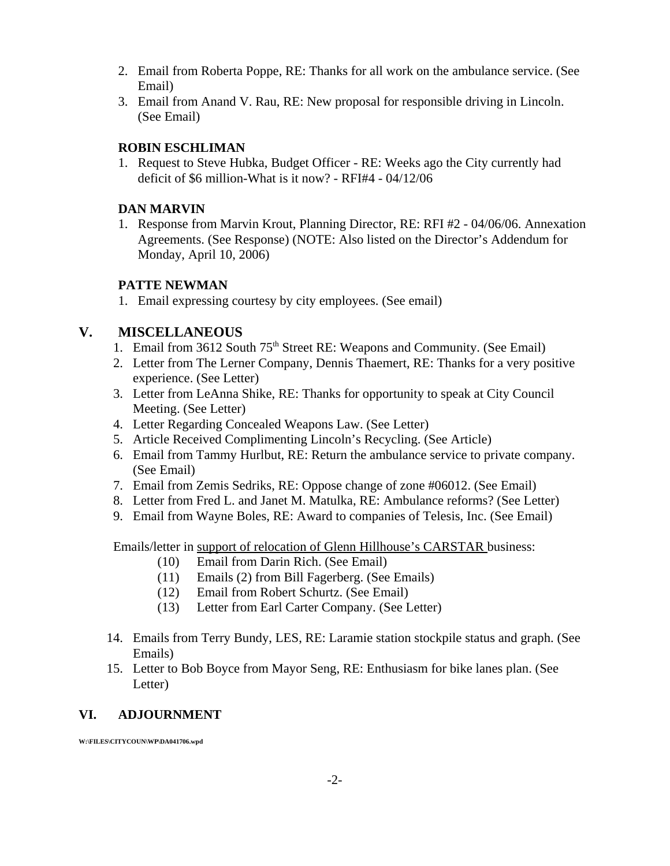- 2. Email from Roberta Poppe, RE: Thanks for all work on the ambulance service. (See Email)
- 3. Email from Anand V. Rau, RE: New proposal for responsible driving in Lincoln. (See Email)

## **ROBIN ESCHLIMAN**

1. Request to Steve Hubka, Budget Officer - RE: Weeks ago the City currently had deficit of \$6 million-What is it now? - RFI#4 - 04/12/06

## **DAN MARVIN**

1. Response from Marvin Krout, Planning Director, RE: RFI #2 - 04/06/06. Annexation Agreements. (See Response) (NOTE: Also listed on the Director's Addendum for Monday, April 10, 2006)

# **PATTE NEWMAN**

1. Email expressing courtesy by city employees. (See email)

# **V. MISCELLANEOUS**

- 1. Email from 3612 South 75<sup>th</sup> Street RE: Weapons and Community. (See Email)
- 2. Letter from The Lerner Company, Dennis Thaemert, RE: Thanks for a very positive experience. (See Letter)
- 3. Letter from LeAnna Shike, RE: Thanks for opportunity to speak at City Council Meeting. (See Letter)
- 4. Letter Regarding Concealed Weapons Law. (See Letter)
- 5. Article Received Complimenting Lincoln's Recycling. (See Article)
- 6. Email from Tammy Hurlbut, RE: Return the ambulance service to private company. (See Email)
- 7. Email from Zemis Sedriks, RE: Oppose change of zone #06012. (See Email)
- 8. Letter from Fred L. and Janet M. Matulka, RE: Ambulance reforms? (See Letter)
- 9. Email from Wayne Boles, RE: Award to companies of Telesis, Inc. (See Email)

Emails/letter in support of relocation of Glenn Hillhouse's CARSTAR business:

- (10) Email from Darin Rich. (See Email)
- (11) Emails (2) from Bill Fagerberg. (See Emails)
- (12) Email from Robert Schurtz. (See Email)
- (13) Letter from Earl Carter Company. (See Letter)
- 14. Emails from Terry Bundy, LES, RE: Laramie station stockpile status and graph. (See Emails)
- 15. Letter to Bob Boyce from Mayor Seng, RE: Enthusiasm for bike lanes plan. (See Letter)

# **VI. ADJOURNMENT**

**W:\FILES\CITYCOUN\WP\DA041706.wpd**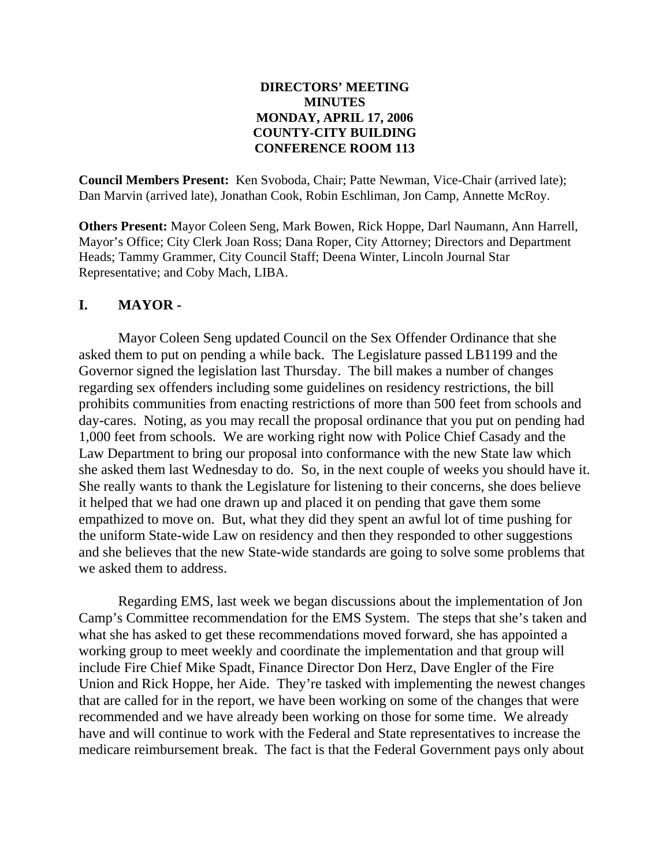## **DIRECTORS' MEETING MINUTES MONDAY, APRIL 17, 2006 COUNTY-CITY BUILDING CONFERENCE ROOM 113**

**Council Members Present:** Ken Svoboda, Chair; Patte Newman, Vice-Chair (arrived late); Dan Marvin (arrived late), Jonathan Cook, Robin Eschliman, Jon Camp, Annette McRoy.

**Others Present:** Mayor Coleen Seng, Mark Bowen, Rick Hoppe, Darl Naumann, Ann Harrell, Mayor's Office; City Clerk Joan Ross; Dana Roper, City Attorney; Directors and Department Heads; Tammy Grammer, City Council Staff; Deena Winter, Lincoln Journal Star Representative; and Coby Mach, LIBA.

# **I. MAYOR -**

Mayor Coleen Seng updated Council on the Sex Offender Ordinance that she asked them to put on pending a while back. The Legislature passed LB1199 and the Governor signed the legislation last Thursday. The bill makes a number of changes regarding sex offenders including some guidelines on residency restrictions, the bill prohibits communities from enacting restrictions of more than 500 feet from schools and day-cares. Noting, as you may recall the proposal ordinance that you put on pending had 1,000 feet from schools. We are working right now with Police Chief Casady and the Law Department to bring our proposal into conformance with the new State law which she asked them last Wednesday to do. So, in the next couple of weeks you should have it. She really wants to thank the Legislature for listening to their concerns, she does believe it helped that we had one drawn up and placed it on pending that gave them some empathized to move on. But, what they did they spent an awful lot of time pushing for the uniform State-wide Law on residency and then they responded to other suggestions and she believes that the new State-wide standards are going to solve some problems that we asked them to address.

Regarding EMS, last week we began discussions about the implementation of Jon Camp's Committee recommendation for the EMS System. The steps that she's taken and what she has asked to get these recommendations moved forward, she has appointed a working group to meet weekly and coordinate the implementation and that group will include Fire Chief Mike Spadt, Finance Director Don Herz, Dave Engler of the Fire Union and Rick Hoppe, her Aide. They're tasked with implementing the newest changes that are called for in the report, we have been working on some of the changes that were recommended and we have already been working on those for some time. We already have and will continue to work with the Federal and State representatives to increase the medicare reimbursement break. The fact is that the Federal Government pays only about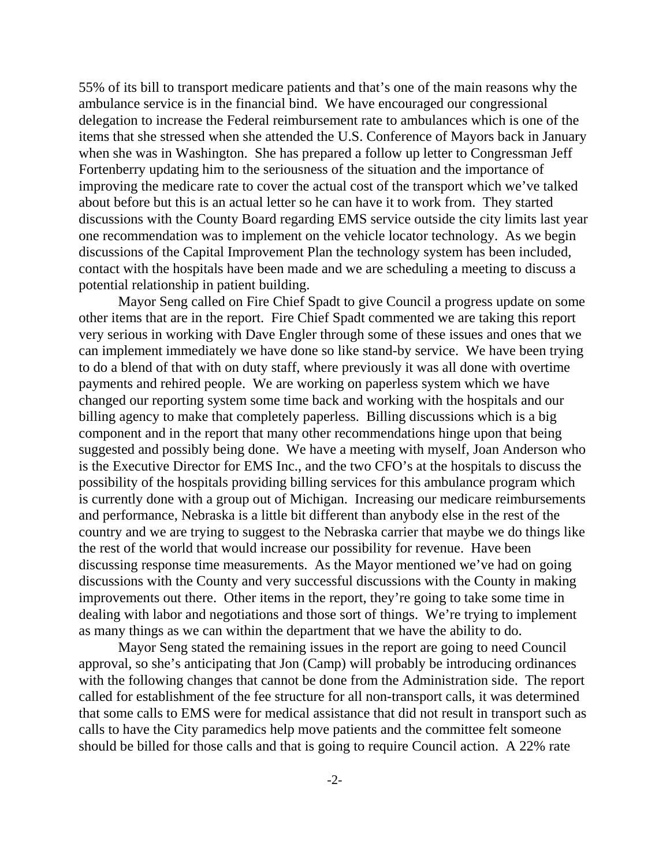55% of its bill to transport medicare patients and that's one of the main reasons why the ambulance service is in the financial bind. We have encouraged our congressional delegation to increase the Federal reimbursement rate to ambulances which is one of the items that she stressed when she attended the U.S. Conference of Mayors back in January when she was in Washington. She has prepared a follow up letter to Congressman Jeff Fortenberry updating him to the seriousness of the situation and the importance of improving the medicare rate to cover the actual cost of the transport which we've talked about before but this is an actual letter so he can have it to work from. They started discussions with the County Board regarding EMS service outside the city limits last year one recommendation was to implement on the vehicle locator technology. As we begin discussions of the Capital Improvement Plan the technology system has been included, contact with the hospitals have been made and we are scheduling a meeting to discuss a potential relationship in patient building.

Mayor Seng called on Fire Chief Spadt to give Council a progress update on some other items that are in the report. Fire Chief Spadt commented we are taking this report very serious in working with Dave Engler through some of these issues and ones that we can implement immediately we have done so like stand-by service. We have been trying to do a blend of that with on duty staff, where previously it was all done with overtime payments and rehired people. We are working on paperless system which we have changed our reporting system some time back and working with the hospitals and our billing agency to make that completely paperless. Billing discussions which is a big component and in the report that many other recommendations hinge upon that being suggested and possibly being done. We have a meeting with myself, Joan Anderson who is the Executive Director for EMS Inc., and the two CFO's at the hospitals to discuss the possibility of the hospitals providing billing services for this ambulance program which is currently done with a group out of Michigan. Increasing our medicare reimbursements and performance, Nebraska is a little bit different than anybody else in the rest of the country and we are trying to suggest to the Nebraska carrier that maybe we do things like the rest of the world that would increase our possibility for revenue. Have been discussing response time measurements. As the Mayor mentioned we've had on going discussions with the County and very successful discussions with the County in making improvements out there. Other items in the report, they're going to take some time in dealing with labor and negotiations and those sort of things. We're trying to implement as many things as we can within the department that we have the ability to do.

Mayor Seng stated the remaining issues in the report are going to need Council approval, so she's anticipating that Jon (Camp) will probably be introducing ordinances with the following changes that cannot be done from the Administration side. The report called for establishment of the fee structure for all non-transport calls, it was determined that some calls to EMS were for medical assistance that did not result in transport such as calls to have the City paramedics help move patients and the committee felt someone should be billed for those calls and that is going to require Council action. A 22% rate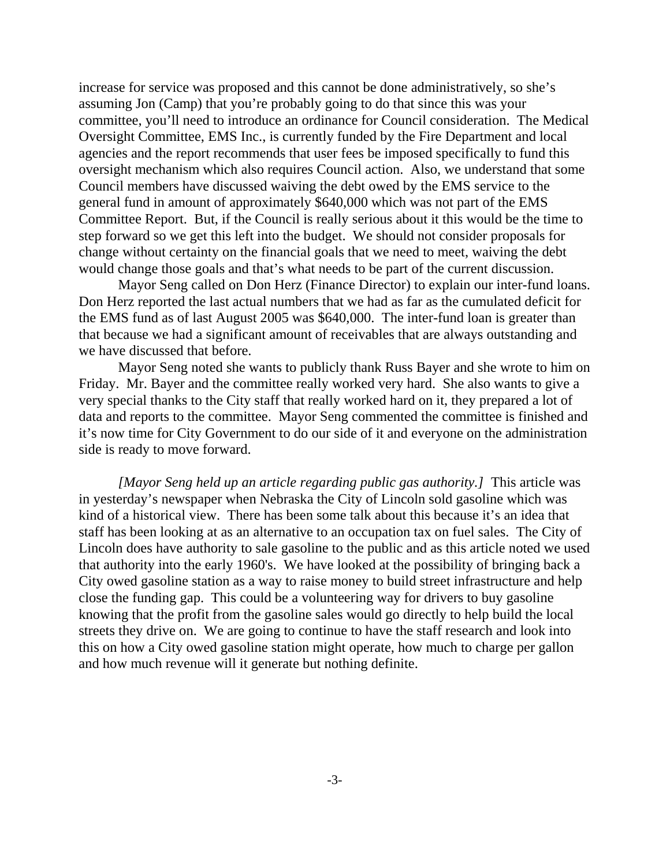increase for service was proposed and this cannot be done administratively, so she's assuming Jon (Camp) that you're probably going to do that since this was your committee, you'll need to introduce an ordinance for Council consideration. The Medical Oversight Committee, EMS Inc., is currently funded by the Fire Department and local agencies and the report recommends that user fees be imposed specifically to fund this oversight mechanism which also requires Council action. Also, we understand that some Council members have discussed waiving the debt owed by the EMS service to the general fund in amount of approximately \$640,000 which was not part of the EMS Committee Report. But, if the Council is really serious about it this would be the time to step forward so we get this left into the budget. We should not consider proposals for change without certainty on the financial goals that we need to meet, waiving the debt would change those goals and that's what needs to be part of the current discussion.

Mayor Seng called on Don Herz (Finance Director) to explain our inter-fund loans. Don Herz reported the last actual numbers that we had as far as the cumulated deficit for the EMS fund as of last August 2005 was \$640,000. The inter-fund loan is greater than that because we had a significant amount of receivables that are always outstanding and we have discussed that before.

Mayor Seng noted she wants to publicly thank Russ Bayer and she wrote to him on Friday. Mr. Bayer and the committee really worked very hard. She also wants to give a very special thanks to the City staff that really worked hard on it, they prepared a lot of data and reports to the committee. Mayor Seng commented the committee is finished and it's now time for City Government to do our side of it and everyone on the administration side is ready to move forward.

*[Mayor Seng held up an article regarding public gas authority.]* This article was in yesterday's newspaper when Nebraska the City of Lincoln sold gasoline which was kind of a historical view. There has been some talk about this because it's an idea that staff has been looking at as an alternative to an occupation tax on fuel sales. The City of Lincoln does have authority to sale gasoline to the public and as this article noted we used that authority into the early 1960's. We have looked at the possibility of bringing back a City owed gasoline station as a way to raise money to build street infrastructure and help close the funding gap. This could be a volunteering way for drivers to buy gasoline knowing that the profit from the gasoline sales would go directly to help build the local streets they drive on. We are going to continue to have the staff research and look into this on how a City owed gasoline station might operate, how much to charge per gallon and how much revenue will it generate but nothing definite.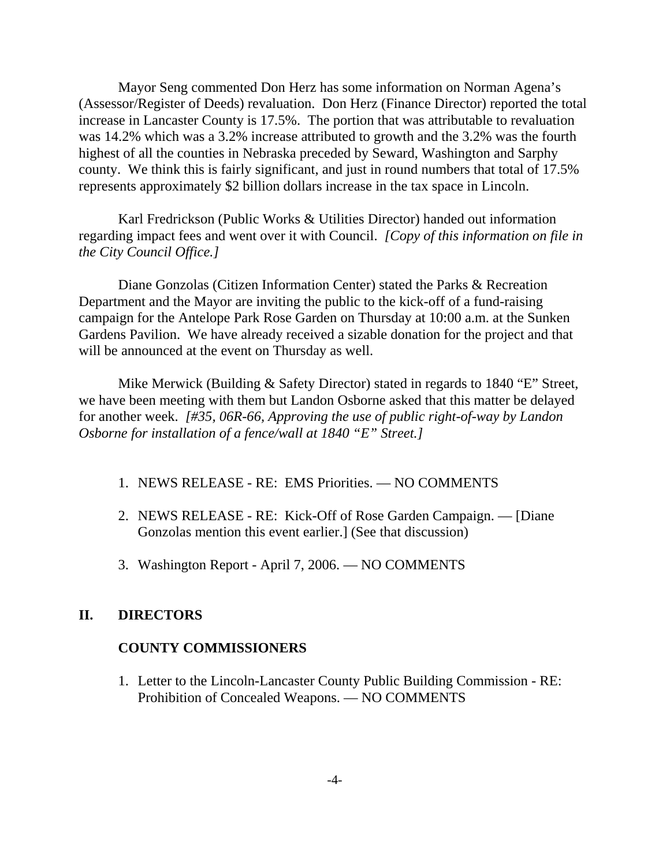Mayor Seng commented Don Herz has some information on Norman Agena's (Assessor/Register of Deeds) revaluation. Don Herz (Finance Director) reported the total increase in Lancaster County is 17.5%. The portion that was attributable to revaluation was 14.2% which was a 3.2% increase attributed to growth and the 3.2% was the fourth highest of all the counties in Nebraska preceded by Seward, Washington and Sarphy county. We think this is fairly significant, and just in round numbers that total of 17.5% represents approximately \$2 billion dollars increase in the tax space in Lincoln.

Karl Fredrickson (Public Works & Utilities Director) handed out information regarding impact fees and went over it with Council. *[Copy of this information on file in the City Council Office.]* 

Diane Gonzolas (Citizen Information Center) stated the Parks & Recreation Department and the Mayor are inviting the public to the kick-off of a fund-raising campaign for the Antelope Park Rose Garden on Thursday at 10:00 a.m. at the Sunken Gardens Pavilion. We have already received a sizable donation for the project and that will be announced at the event on Thursday as well.

Mike Merwick (Building & Safety Director) stated in regards to 1840 "E" Street, we have been meeting with them but Landon Osborne asked that this matter be delayed for another week. *[#35, 06R-66, Approving the use of public right-of-way by Landon Osborne for installation of a fence/wall at 1840 "E" Street.]* 

- 1. NEWS RELEASE RE: EMS Priorities. NO COMMENTS
- 2. NEWS RELEASE RE: Kick-Off of Rose Garden Campaign. [Diane Gonzolas mention this event earlier.] (See that discussion)
- 3. Washington Report April 7, 2006. NO COMMENTS

## **II. DIRECTORS**

#### **COUNTY COMMISSIONERS**

1. Letter to the Lincoln-Lancaster County Public Building Commission - RE: Prohibition of Concealed Weapons. — NO COMMENTS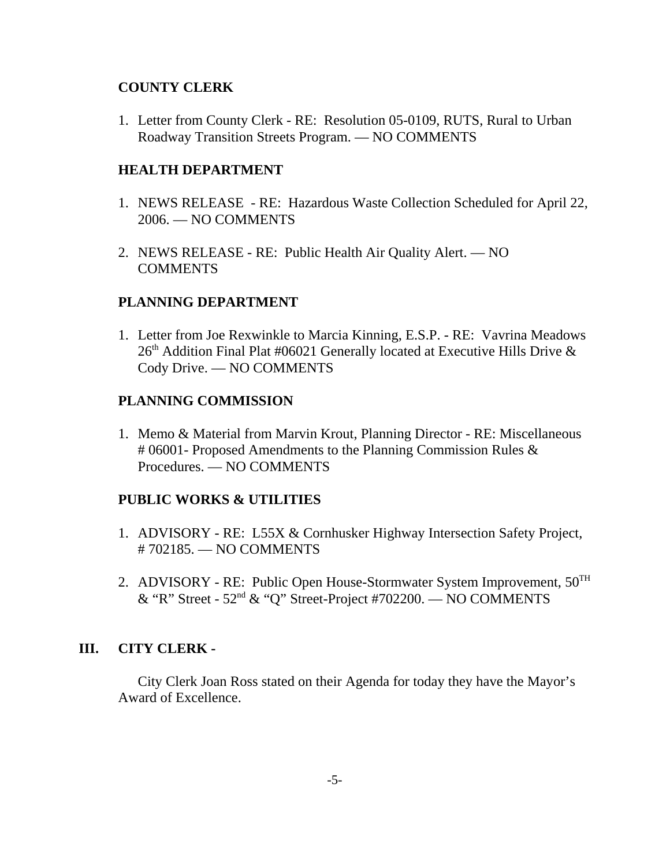## **COUNTY CLERK**

1. Letter from County Clerk - RE: Resolution 05-0109, RUTS, Rural to Urban Roadway Transition Streets Program. — NO COMMENTS

## **HEALTH DEPARTMENT**

- 1. NEWS RELEASE RE: Hazardous Waste Collection Scheduled for April 22, 2006. — NO COMMENTS
- 2. NEWS RELEASE RE: Public Health Air Quality Alert. NO COMMENTS

## **PLANNING DEPARTMENT**

1. Letter from Joe Rexwinkle to Marcia Kinning, E.S.P. - RE: Vavrina Meadows  $26<sup>th</sup>$  Addition Final Plat #06021 Generally located at Executive Hills Drive  $\&$ Cody Drive. — NO COMMENTS

## **PLANNING COMMISSION**

1. Memo & Material from Marvin Krout, Planning Director - RE: Miscellaneous # 06001- Proposed Amendments to the Planning Commission Rules & Procedures. — NO COMMENTS

## **PUBLIC WORKS & UTILITIES**

- 1. ADVISORY RE: L55X & Cornhusker Highway Intersection Safety Project, # 702185. — NO COMMENTS
- 2. ADVISORY RE: Public Open House-Stormwater System Improvement,  $50<sup>TH</sup>$ & "R" Street - 52nd & "Q" Street-Project #702200. — NO COMMENTS

## **III. CITY CLERK -**

City Clerk Joan Ross stated on their Agenda for today they have the Mayor's Award of Excellence.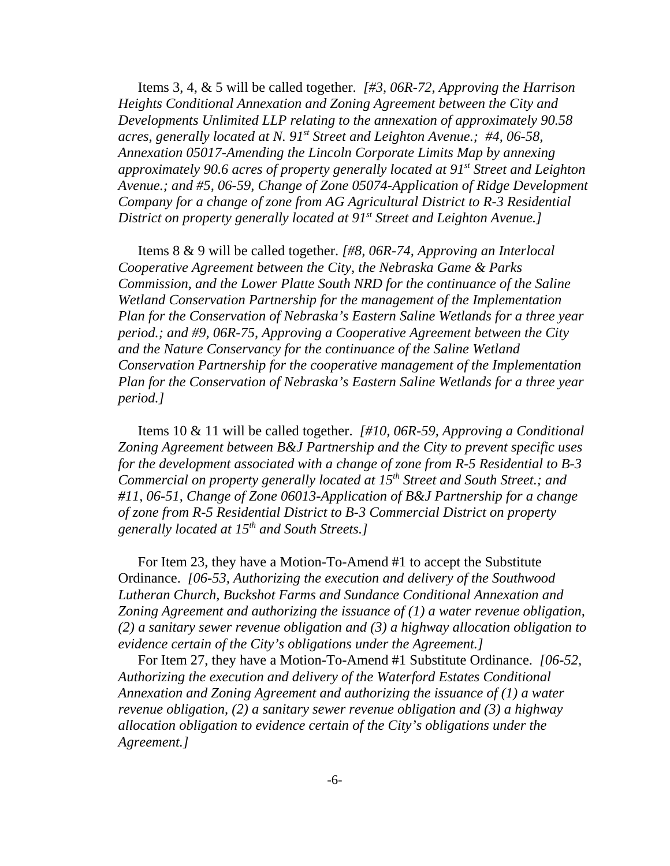Items 3, 4, & 5 will be called together. *[#3, 06R-72, Approving the Harrison Heights Conditional Annexation and Zoning Agreement between the City and Developments Unlimited LLP relating to the annexation of approximately 90.58 acres, generally located at N. 91st Street and Leighton Avenue.; #4, 06-58, Annexation 05017-Amending the Lincoln Corporate Limits Map by annexing approximately 90.6 acres of property generally located at 91st Street and Leighton Avenue.; and #5, 06-59, Change of Zone 05074-Application of Ridge Development Company for a change of zone from AG Agricultural District to R-3 Residential District on property generally located at 91<sup>st</sup> Street and Leighton Avenue.]* 

Items 8 & 9 will be called together. *[#8, 06R-74, Approving an Interlocal Cooperative Agreement between the City, the Nebraska Game & Parks Commission, and the Lower Platte South NRD for the continuance of the Saline Wetland Conservation Partnership for the management of the Implementation Plan for the Conservation of Nebraska's Eastern Saline Wetlands for a three year period.; and #9, 06R-75, Approving a Cooperative Agreement between the City and the Nature Conservancy for the continuance of the Saline Wetland Conservation Partnership for the cooperative management of the Implementation Plan for the Conservation of Nebraska's Eastern Saline Wetlands for a three year period.]* 

Items 10 & 11 will be called together. *[#10, 06R-59, Approving a Conditional Zoning Agreement between B&J Partnership and the City to prevent specific uses for the development associated with a change of zone from R-5 Residential to B-3 Commercial on property generally located at 15th Street and South Street.; and #11, 06-51, Change of Zone 06013-Application of B&J Partnership for a change of zone from R-5 Residential District to B-3 Commercial District on property generally located at 15th and South Streets.]*

For Item 23, they have a Motion-To-Amend #1 to accept the Substitute Ordinance. *[06-53, Authorizing the execution and delivery of the Southwood Lutheran Church, Buckshot Farms and Sundance Conditional Annexation and Zoning Agreement and authorizing the issuance of (1) a water revenue obligation, (2) a sanitary sewer revenue obligation and (3) a highway allocation obligation to evidence certain of the City's obligations under the Agreement.]* 

For Item 27, they have a Motion-To-Amend #1 Substitute Ordinance. *[06-52, Authorizing the execution and delivery of the Waterford Estates Conditional Annexation and Zoning Agreement and authorizing the issuance of (1) a water revenue obligation, (2) a sanitary sewer revenue obligation and (3) a highway allocation obligation to evidence certain of the City's obligations under the Agreement.]*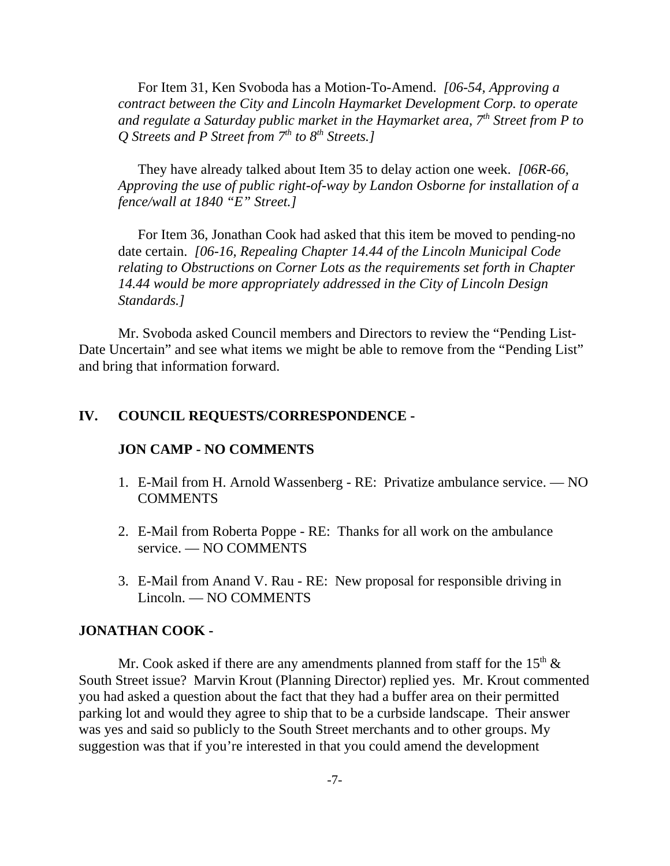For Item 31, Ken Svoboda has a Motion-To-Amend. *[06-54, Approving a contract between the City and Lincoln Haymarket Development Corp. to operate and regulate a Saturday public market in the Haymarket area, 7th Street from P to Q* Streets and *P* Street from  $7<sup>th</sup>$  to  $8<sup>th</sup>$  Streets.]

They have already talked about Item 35 to delay action one week. *[06R-66, Approving the use of public right-of-way by Landon Osborne for installation of a fence/wall at 1840 "E" Street.]* 

For Item 36, Jonathan Cook had asked that this item be moved to pending-no date certain. *[06-16, Repealing Chapter 14.44 of the Lincoln Municipal Code relating to Obstructions on Corner Lots as the requirements set forth in Chapter 14.44 would be more appropriately addressed in the City of Lincoln Design Standards.]* 

Mr. Svoboda asked Council members and Directors to review the "Pending List-Date Uncertain" and see what items we might be able to remove from the "Pending List" and bring that information forward.

## **IV. COUNCIL REQUESTS/CORRESPONDENCE -**

#### **JON CAMP - NO COMMENTS**

- 1. E-Mail from H. Arnold Wassenberg RE: Privatize ambulance service. NO **COMMENTS**
- 2. E-Mail from Roberta Poppe RE: Thanks for all work on the ambulance service. — NO COMMENTS
- 3. E-Mail from Anand V. Rau RE: New proposal for responsible driving in Lincoln. — NO COMMENTS

#### **JONATHAN COOK -**

Mr. Cook asked if there are any amendments planned from staff for the  $15<sup>th</sup>$  & South Street issue? Marvin Krout (Planning Director) replied yes. Mr. Krout commented you had asked a question about the fact that they had a buffer area on their permitted parking lot and would they agree to ship that to be a curbside landscape. Their answer was yes and said so publicly to the South Street merchants and to other groups. My suggestion was that if you're interested in that you could amend the development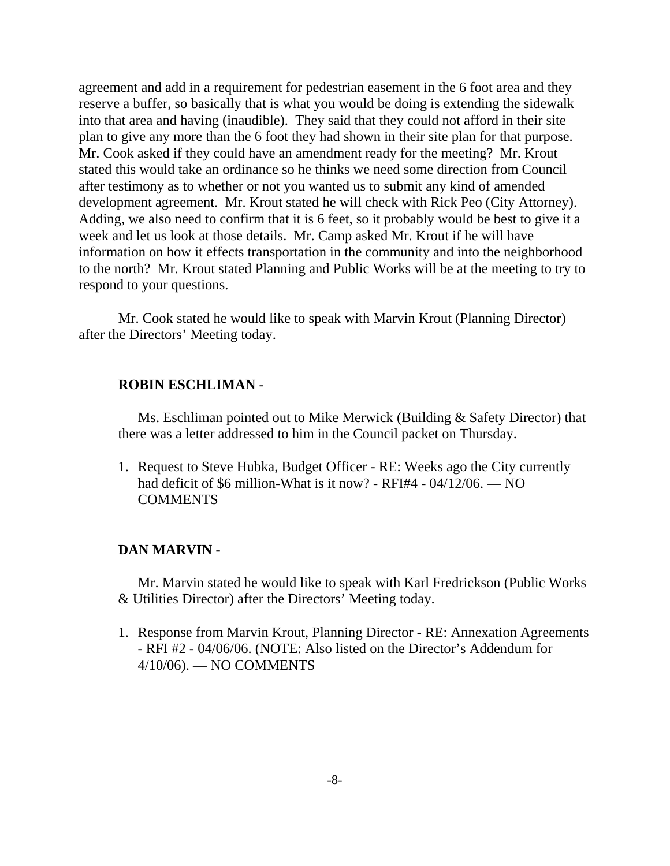agreement and add in a requirement for pedestrian easement in the 6 foot area and they reserve a buffer, so basically that is what you would be doing is extending the sidewalk into that area and having (inaudible). They said that they could not afford in their site plan to give any more than the 6 foot they had shown in their site plan for that purpose. Mr. Cook asked if they could have an amendment ready for the meeting? Mr. Krout stated this would take an ordinance so he thinks we need some direction from Council after testimony as to whether or not you wanted us to submit any kind of amended development agreement. Mr. Krout stated he will check with Rick Peo (City Attorney). Adding, we also need to confirm that it is 6 feet, so it probably would be best to give it a week and let us look at those details. Mr. Camp asked Mr. Krout if he will have information on how it effects transportation in the community and into the neighborhood to the north? Mr. Krout stated Planning and Public Works will be at the meeting to try to respond to your questions.

Mr. Cook stated he would like to speak with Marvin Krout (Planning Director) after the Directors' Meeting today.

#### **ROBIN ESCHLIMAN** -

Ms. Eschliman pointed out to Mike Merwick (Building & Safety Director) that there was a letter addressed to him in the Council packet on Thursday.

1. Request to Steve Hubka, Budget Officer - RE: Weeks ago the City currently had deficit of \$6 million-What is it now? - RFI#4 - 04/12/06. — NO **COMMENTS** 

#### **DAN MARVIN -**

Mr. Marvin stated he would like to speak with Karl Fredrickson (Public Works & Utilities Director) after the Directors' Meeting today.

1. Response from Marvin Krout, Planning Director - RE: Annexation Agreements - RFI #2 - 04/06/06. (NOTE: Also listed on the Director's Addendum for 4/10/06). — NO COMMENTS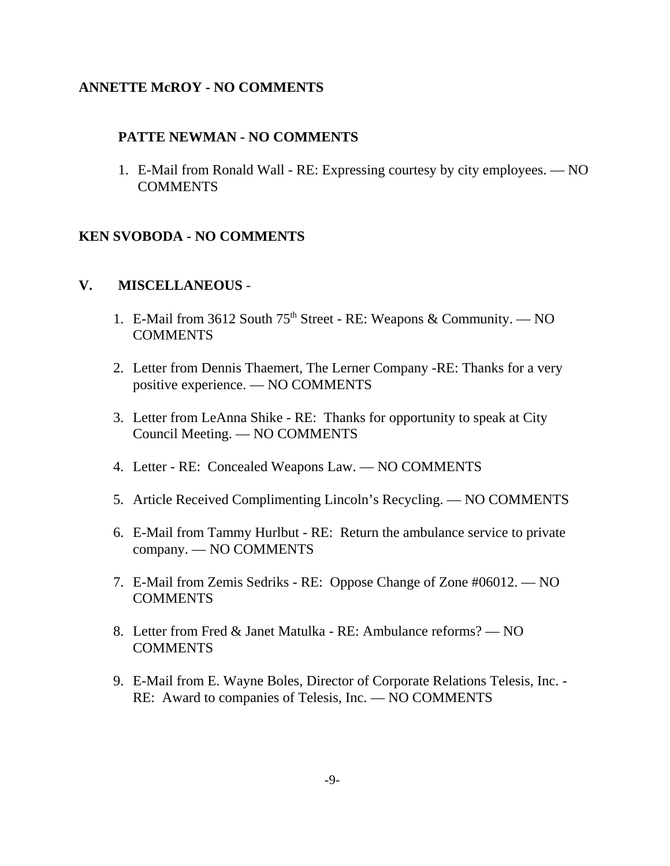## **ANNETTE McROY - NO COMMENTS**

## **PATTE NEWMAN - NO COMMENTS**

1. E-Mail from Ronald Wall - RE: Expressing courtesy by city employees. — NO COMMENTS

# **KEN SVOBODA - NO COMMENTS**

## **V. MISCELLANEOUS** -

- 1. E-Mail from 3612 South  $75<sup>th</sup>$  Street RE: Weapons & Community. NO **COMMENTS**
- 2. Letter from Dennis Thaemert, The Lerner Company -RE: Thanks for a very positive experience. — NO COMMENTS
- 3. Letter from LeAnna Shike RE: Thanks for opportunity to speak at City Council Meeting. — NO COMMENTS
- 4. Letter RE: Concealed Weapons Law. NO COMMENTS
- 5. Article Received Complimenting Lincoln's Recycling. NO COMMENTS
- 6. E-Mail from Tammy Hurlbut RE: Return the ambulance service to private company. — NO COMMENTS
- 7. E-Mail from Zemis Sedriks RE: Oppose Change of Zone #06012. NO **COMMENTS**
- 8. Letter from Fred & Janet Matulka RE: Ambulance reforms? NO COMMENTS
- 9. E-Mail from E. Wayne Boles, Director of Corporate Relations Telesis, Inc. RE: Award to companies of Telesis, Inc. — NO COMMENTS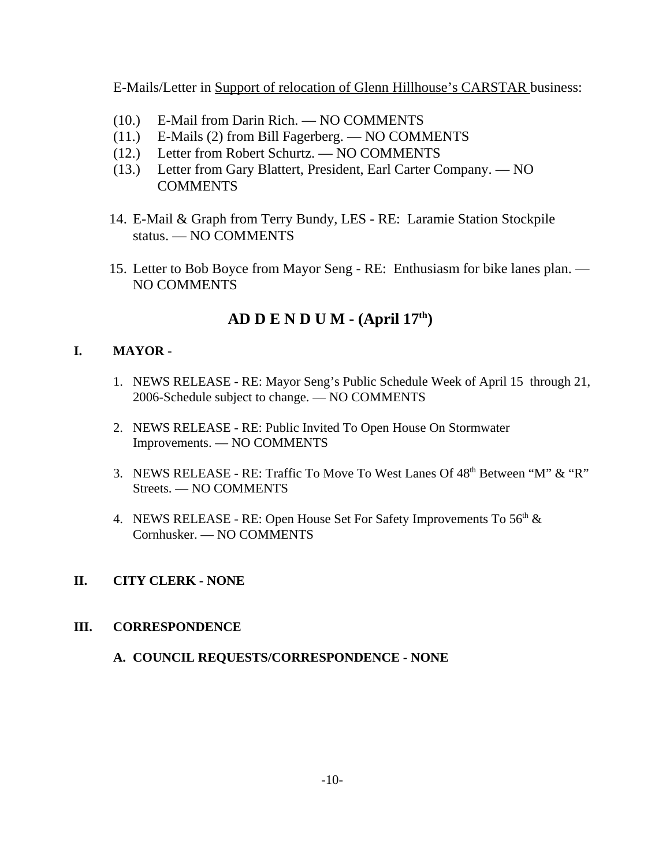E-Mails/Letter in Support of relocation of Glenn Hillhouse's CARSTAR business:

- (10.) E-Mail from Darin Rich. NO COMMENTS
- (11.) E-Mails (2) from Bill Fagerberg. NO COMMENTS
- (12.) Letter from Robert Schurtz. NO COMMENTS
- (13.) Letter from Gary Blattert, President, Earl Carter Company. NO **COMMENTS**
- 14. E-Mail & Graph from Terry Bundy, LES RE: Laramie Station Stockpile status. — NO COMMENTS
- 15. Letter to Bob Boyce from Mayor Seng RE: Enthusiasm for bike lanes plan. NO COMMENTS

# **AD D E N D U M - (April 17th)**

## **I. MAYOR -**

- 1. NEWS RELEASE RE: Mayor Seng's Public Schedule Week of April 15 through 21, 2006-Schedule subject to change. — NO COMMENTS
- 2. NEWS RELEASE RE: Public Invited To Open House On Stormwater Improvements. — NO COMMENTS
- 3. NEWS RELEASE RE: Traffic To Move To West Lanes Of 48<sup>th</sup> Between "M" & "R" Streets. — NO COMMENTS
- 4. NEWS RELEASE RE: Open House Set For Safety Improvements To  $56<sup>th</sup>$  & Cornhusker. — NO COMMENTS

## **II. CITY CLERK - NONE**

## **III. CORRESPONDENCE**

**A. COUNCIL REQUESTS/CORRESPONDENCE - NONE**